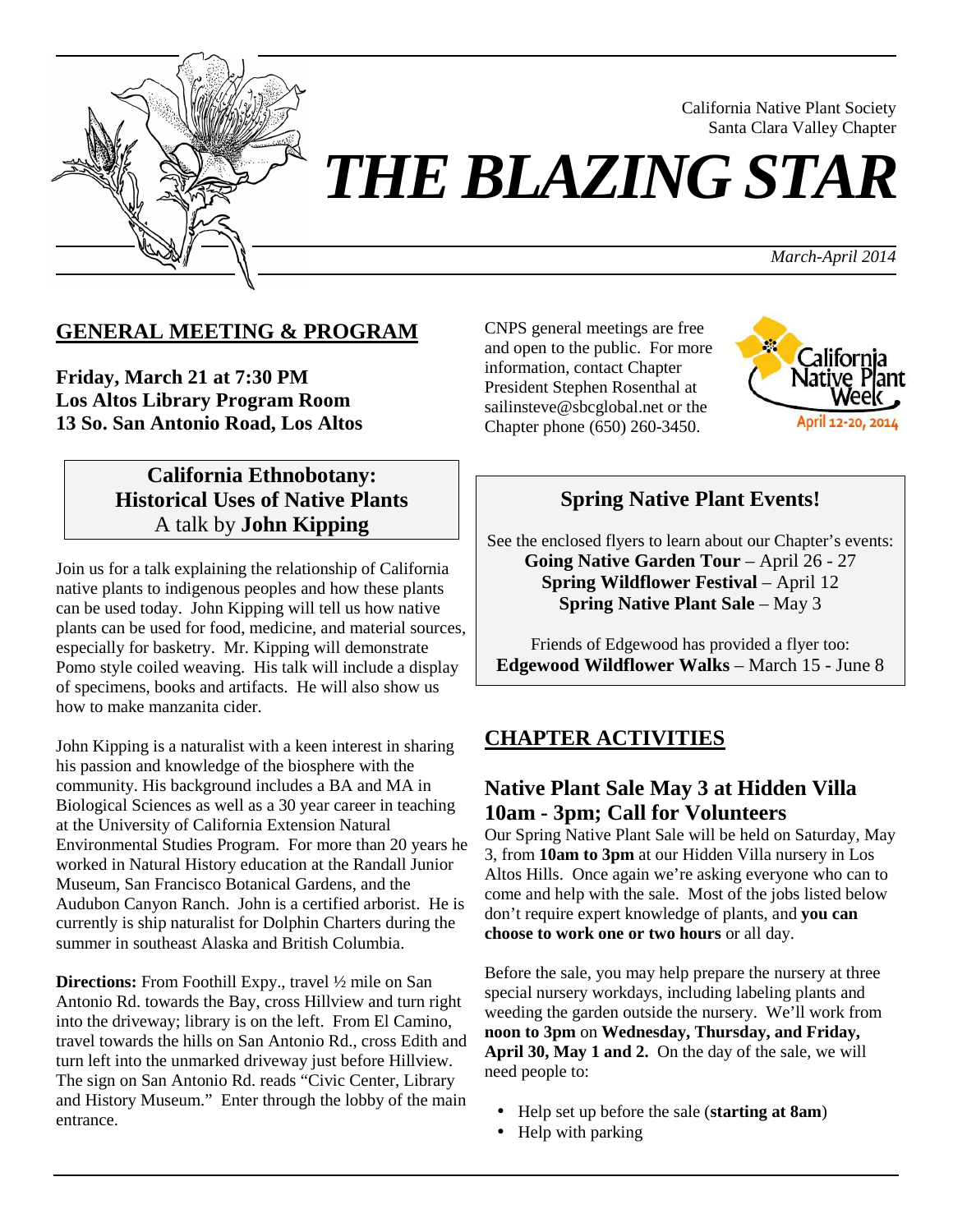

# *THE BLAZING STAR*

*March-April 2014*

California Native Plant Society Santa Clara Valley Chapter

# **GENERAL MEETING & PROGRAM**

**Friday, March 21 at 7:30 PM Los Altos Library Program Room 13 So. San Antonio Road, Los Altos**

# **California Ethnobotany: Historical Uses of Native Plants**  A talk by **John Kipping**

Join us for a talk explaining the relationship of California native plants to indigenous peoples and how these plants can be used today. John Kipping will tell us how native plants can be used for food, medicine, and material sources, especially for basketry. Mr. Kipping will demonstrate Pomo style coiled weaving. His talk will include a display of specimens, books and artifacts. He will also show us how to make manzanita cider.

John Kipping is a naturalist with a keen interest in sharing his passion and knowledge of the biosphere with the community. His background includes a BA and MA in Biological Sciences as well as a 30 year career in teaching at the University of California Extension Natural Environmental Studies Program. For more than 20 years he worked in Natural History education at the Randall Junior Museum, San Francisco Botanical Gardens, and the Audubon Canyon Ranch. John is a certified arborist. He is currently is ship naturalist for Dolphin Charters during the summer in southeast Alaska and British Columbia.

**Directions:** From Foothill Expy., travel 1/2 mile on San Antonio Rd. towards the Bay, cross Hillview and turn right into the driveway; library is on the left. From El Camino, travel towards the hills on San Antonio Rd., cross Edith and turn left into the unmarked driveway just before Hillview. The sign on San Antonio Rd. reads "Civic Center, Library and History Museum." Enter through the lobby of the main entrance.

CNPS general meetings are free and open to the public. For more information, contact Chapter President Stephen Rosenthal at sailinsteve@sbcglobal.net or the Chapter phone (650) 260-3450.



# **Spring Native Plant Events!**

See the enclosed flyers to learn about our Chapter's events: **Going Native Garden Tour** – April 26 - 27 **Spring Wildflower Festival** – April 12 **Spring Native Plant Sale** – May 3

Friends of Edgewood has provided a flyer too: **Edgewood Wildflower Walks** – March 15 - June 8

# **CHAPTER ACTIVITIES**

# **Native Plant Sale May 3 at Hidden Villa 10am - 3pm; Call for Volunteers**

Our Spring Native Plant Sale will be held on Saturday, May 3, from **10am to 3pm** at our Hidden Villa nursery in Los Altos Hills. Once again we're asking everyone who can to come and help with the sale. Most of the jobs listed below don't require expert knowledge of plants, and **you can choose to work one or two hours** or all day.

Before the sale, you may help prepare the nursery at three special nursery workdays, including labeling plants and weeding the garden outside the nursery. We'll work from **noon to 3pm** on **Wednesday, Thursday, and Friday, April 30, May 1 and 2.** On the day of the sale, we will need people to:

- Help set up before the sale (**starting at 8am**)
- Help with parking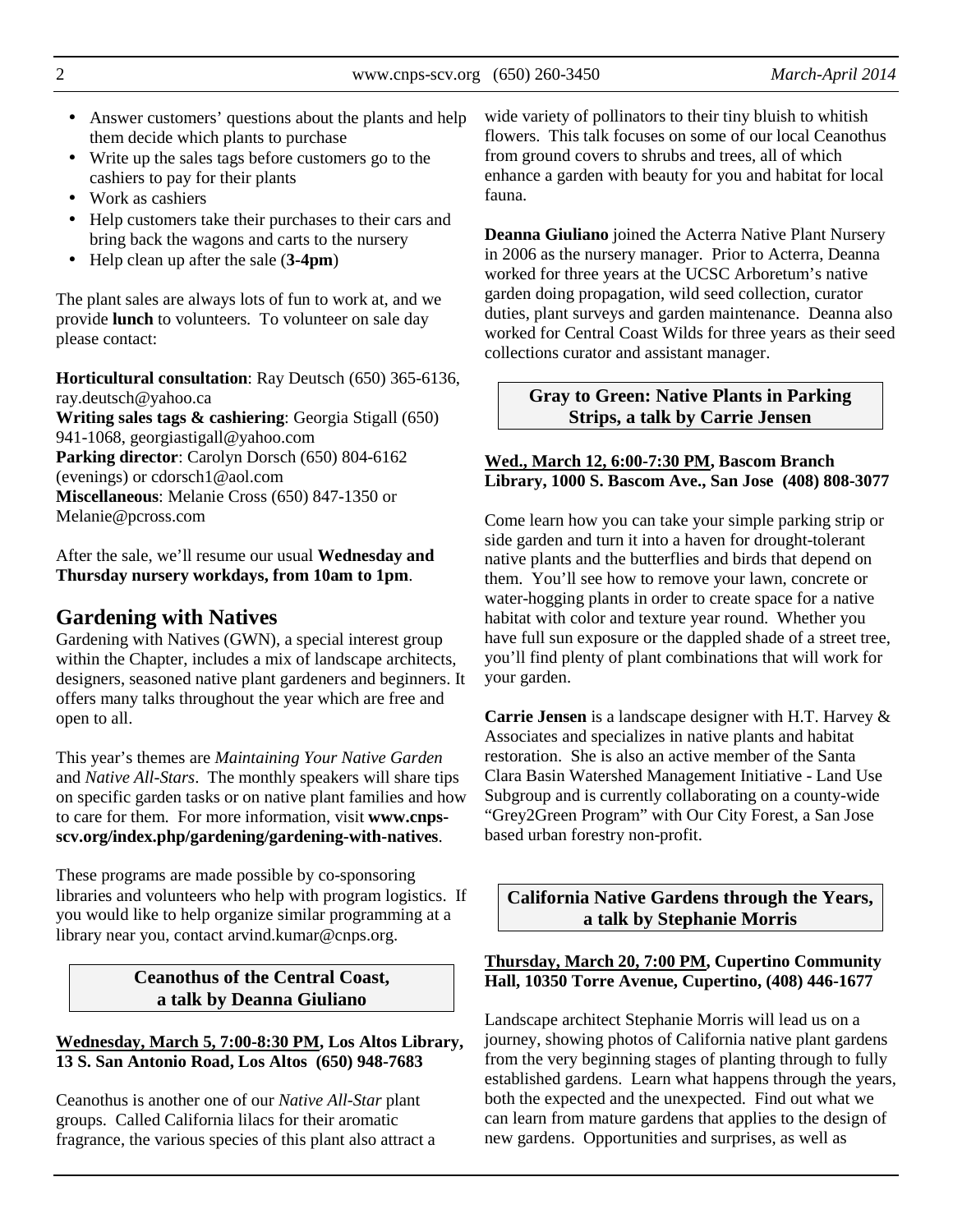2 www.cnps-scv.org (650) 260-3450 *March-April 2014*

- Answer customers' questions about the plants and help them decide which plants to purchase
- Write up the sales tags before customers go to the cashiers to pay for their plants
- Work as cashiers
- Help customers take their purchases to their cars and bring back the wagons and carts to the nursery
- Help clean up after the sale (**3-4pm**)

The plant sales are always lots of fun to work at, and we provide **lunch** to volunteers. To volunteer on sale day please contact:

**Horticultural consultation**: Ray Deutsch (650) 365-6136, ray.deutsch@yahoo.ca **Writing sales tags & cashiering**: Georgia Stigall (650)

941-1068, georgiastigall@yahoo.com **Parking director**: Carolyn Dorsch (650) 804-6162 (evenings) or cdorsch1@aol.com **Miscellaneous**: Melanie Cross (650) 847-1350 or Melanie@pcross.com

After the sale, we'll resume our usual **Wednesday and Thursday nursery workdays, from 10am to 1pm**.

# **Gardening with Natives**

Gardening with Natives (GWN), a special interest group within the Chapter, includes a mix of landscape architects, designers, seasoned native plant gardeners and beginners. It offers many talks throughout the year which are free and open to all.

This year's themes are *Maintaining Your Native Garden* and *Native All-Stars*. The monthly speakers will share tips on specific garden tasks or on native plant families and how to care for them. For more information, visit **www.cnpsscv.org/index.php/gardening/gardening-with-natives**.

These programs are made possible by co-sponsoring libraries and volunteers who help with program logistics. If you would like to help organize similar programming at a library near you, contact arvind.kumar@cnps.org.

> **Ceanothus of the Central Coast, a talk by Deanna Giuliano**

#### **Wednesday, March 5, 7:00-8:30 PM, Los Altos Library, 13 S. San Antonio Road, Los Altos (650) 948-7683**

Ceanothus is another one of our *Native All-Star* plant groups. Called California lilacs for their aromatic fragrance, the various species of this plant also attract a wide variety of pollinators to their tiny bluish to whitish flowers. This talk focuses on some of our local Ceanothus from ground covers to shrubs and trees, all of which enhance a garden with beauty for you and habitat for local fauna.

**Deanna Giuliano** joined the Acterra Native Plant Nursery in 2006 as the nursery manager. Prior to Acterra, Deanna worked for three years at the UCSC Arboretum's native garden doing propagation, wild seed collection, curator duties, plant surveys and garden maintenance. Deanna also worked for Central Coast Wilds for three years as their seed collections curator and assistant manager.

#### **Gray to Green: Native Plants in Parking Strips, a talk by Carrie Jensen**

#### **Wed., March 12, 6:00-7:30 PM, Bascom Branch Library, 1000 S. Bascom Ave., San Jose (408) 808-3077**

Come learn how you can take your simple parking strip or side garden and turn it into a haven for drought-tolerant native plants and the butterflies and birds that depend on them. You'll see how to remove your lawn, concrete or water-hogging plants in order to create space for a native habitat with color and texture year round. Whether you have full sun exposure or the dappled shade of a street tree, you'll find plenty of plant combinations that will work for your garden.

**Carrie Jensen** is a landscape designer with H.T. Harvey & Associates and specializes in native plants and habitat restoration. She is also an active member of the Santa Clara Basin Watershed Management Initiative - Land Use Subgroup and is currently collaborating on a county-wide "Grey2Green Program" with Our City Forest, a San Jose based urban forestry non-profit.

**California Native Gardens through the Years, a talk by Stephanie Morris** 

#### **Thursday, March 20, 7:00 PM, Cupertino Community Hall, 10350 Torre Avenue, Cupertino, (408) 446-1677**

Landscape architect Stephanie Morris will lead us on a journey, showing photos of California native plant gardens from the very beginning stages of planting through to fully established gardens. Learn what happens through the years, both the expected and the unexpected. Find out what we can learn from mature gardens that applies to the design of new gardens. Opportunities and surprises, as well as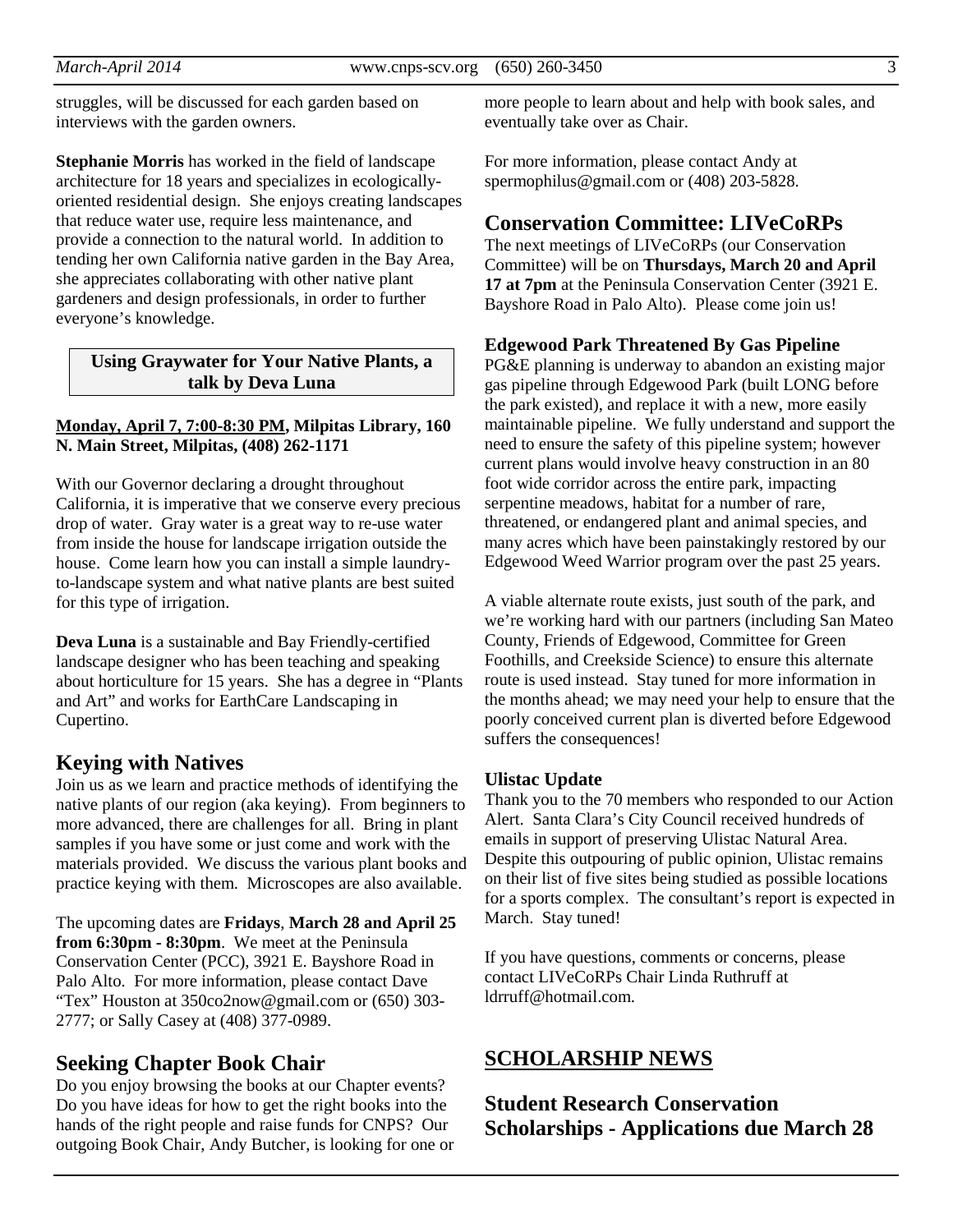struggles, will be discussed for each garden based on interviews with the garden owners.

**Stephanie Morris** has worked in the field of landscape architecture for 18 years and specializes in ecologicallyoriented residential design. She enjoys creating landscapes that reduce water use, require less maintenance, and provide a connection to the natural world. In addition to tending her own California native garden in the Bay Area, she appreciates collaborating with other native plant gardeners and design professionals, in order to further everyone's knowledge.

#### **Using Graywater for Your Native Plants, a talk by Deva Luna**

#### **Monday, April 7, 7:00-8:30 PM, Milpitas Library, 160 N. Main Street, Milpitas, (408) 262-1171**

With our Governor declaring a drought throughout California, it is imperative that we conserve every precious drop of water. Gray water is a great way to re-use water from inside the house for landscape irrigation outside the house. Come learn how you can install a simple laundryto-landscape system and what native plants are best suited for this type of irrigation.

**Deva Luna** is a sustainable and Bay Friendly-certified landscape designer who has been teaching and speaking about horticulture for 15 years. She has a degree in "Plants and Art" and works for EarthCare Landscaping in Cupertino.

#### **Keying with Natives**

Join us as we learn and practice methods of identifying the native plants of our region (aka keying). From beginners to more advanced, there are challenges for all. Bring in plant samples if you have some or just come and work with the materials provided. We discuss the various plant books and practice keying with them. Microscopes are also available.

The upcoming dates are **Fridays**, **March 28 and April 25 from 6:30pm - 8:30pm**. We meet at the Peninsula Conservation Center (PCC), 3921 E. Bayshore Road in Palo Alto. For more information, please contact Dave "Tex" Houston at 350co2now@gmail.com or (650) 303- 2777; or Sally Casey at (408) 377-0989.

#### **Seeking Chapter Book Chair**

Do you enjoy browsing the books at our Chapter events? Do you have ideas for how to get the right books into the hands of the right people and raise funds for CNPS? Our outgoing Book Chair, Andy Butcher, is looking for one or

more people to learn about and help with book sales, and eventually take over as Chair.

For more information, please contact Andy at spermophilus@gmail.com or (408) 203-5828.

#### **Conservation Committee: LIVeCoRPs**

The next meetings of LIVeCoRPs (our Conservation Committee) will be on **Thursdays, March 20 and April 17 at 7pm** at the Peninsula Conservation Center (3921 E. Bayshore Road in Palo Alto). Please come join us!

#### **Edgewood Park Threatened By Gas Pipeline**

PG&E planning is underway to abandon an existing major gas pipeline through Edgewood Park (built LONG before the park existed), and replace it with a new, more easily maintainable pipeline. We fully understand and support the need to ensure the safety of this pipeline system; however current plans would involve heavy construction in an 80 foot wide corridor across the entire park, impacting serpentine meadows, habitat for a number of rare, threatened, or endangered plant and animal species, and many acres which have been painstakingly restored by our Edgewood Weed Warrior program over the past 25 years.

A viable alternate route exists, just south of the park, and we're working hard with our partners (including San Mateo County, Friends of Edgewood, Committee for Green Foothills, and Creekside Science) to ensure this alternate route is used instead. Stay tuned for more information in the months ahead; we may need your help to ensure that the poorly conceived current plan is diverted before Edgewood suffers the consequences!

#### **Ulistac Update**

Thank you to the 70 members who responded to our Action Alert. Santa Clara's City Council received hundreds of emails in support of preserving Ulistac Natural Area. Despite this outpouring of public opinion, Ulistac remains on their list of five sites being studied as possible locations for a sports complex. The consultant's report is expected in March. Stay tuned!

If you have questions, comments or concerns, please contact LIVeCoRPs Chair Linda Ruthruff at ldrruff@hotmail.com.

#### **SCHOLARSHIP NEWS**

# **Student Research Conservation Scholarships - Applications due March 28**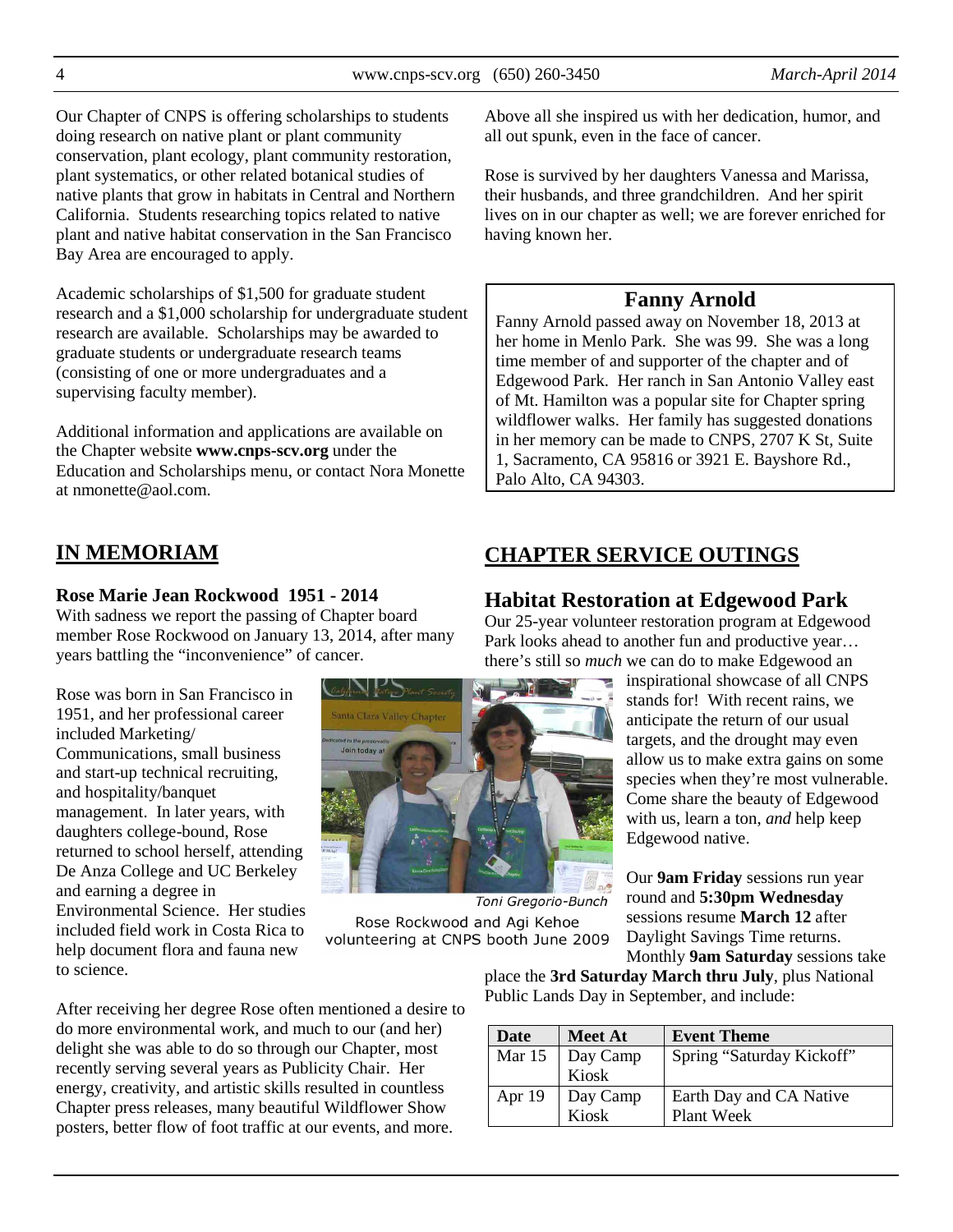Our Chapter of CNPS is offering scholarships to students doing research on native plant or plant community conservation, plant ecology, plant community restoration, plant systematics, or other related botanical studies of native plants that grow in habitats in Central and Northern California. Students researching topics related to native plant and native habitat conservation in the San Francisco Bay Area are encouraged to apply.

Academic scholarships of \$1,500 for graduate student research and a \$1,000 scholarship for undergraduate student research are available. Scholarships may be awarded to graduate students or undergraduate research teams (consisting of one or more undergraduates and a supervising faculty member).

Additional information and applications are available on the Chapter website **www.cnps-scv.org** under the Education and Scholarships menu, or contact Nora Monette at nmonette@aol.com.

Above all she inspired us with her dedication, humor, and all out spunk, even in the face of cancer.

Rose is survived by her daughters Vanessa and Marissa, their husbands, and three grandchildren. And her spirit lives on in our chapter as well; we are forever enriched for having known her.

# **Fanny Arnold**

Fanny Arnold passed away on November 18, 2013 at her home in Menlo Park. She was 99. She was a long time member of and supporter of the chapter and of Edgewood Park. Her ranch in San Antonio Valley east of Mt. Hamilton was a popular site for Chapter spring wildflower walks. Her family has suggested donations in her memory can be made to CNPS, 2707 K St, Suite 1, Sacramento, CA 95816 or 3921 E. Bayshore Rd., Palo Alto, CA 94303.

# **IN MEMORIAM**

#### **Rose Marie Jean Rockwood 1951 - 2014**

With sadness we report the passing of Chapter board member Rose Rockwood on January 13, 2014, after many years battling the "inconvenience" of cancer.

Rose was born in San Francisco in 1951, and her professional career included Marketing/ Communications, small business and start-up technical recruiting, and hospitality/banquet management. In later years, with daughters college-bound, Rose returned to school herself, attending De Anza College and UC Berkeley and earning a degree in Environmental Science. Her studies included field work in Costa Rica to help document flora and fauna new

to science.

After receiving her degree Rose often mentioned a desire to do more environmental work, and much to our (and her) delight she was able to do so through our Chapter, most recently serving several years as Publicity Chair. Her energy, creativity, and artistic skills resulted in countless Chapter press releases, many beautiful Wildflower Show posters, better flow of foot traffic at our events, and more.

# **CHAPTER SERVICE OUTINGS**

# **Habitat Restoration at Edgewood Park**

Our 25-year volunteer restoration program at Edgewood Park looks ahead to another fun and productive year… there's still so *much* we can do to make Edgewood an

inspirational showcase of all CNPS stands for! With recent rains, we anticipate the return of our usual targets, and the drought may even allow us to make extra gains on some species when they're most vulnerable. Come share the beauty of Edgewood with us, learn a ton, *and* help keep Edgewood native.

Our **9am Friday** sessions run year round and **5:30pm Wednesday** sessions resume **March 12** after Daylight Savings Time returns.

Monthly **9am Saturday** sessions take place the **3rd Saturday March thru July**, plus National Public Lands Day in September, and include:

| Date   | <b>Meet At</b>                   | <b>Event Theme</b>        |
|--------|----------------------------------|---------------------------|
|        | Mar 15 $\vert$ Day Camp<br>Kiosk | Spring "Saturday Kickoff" |
|        |                                  |                           |
| Apr 19 | Day Camp<br>Kiosk                | Earth Day and CA Native   |
|        |                                  | Plant Week                |



Rose Rockwood and Agi Kehoe volunteering at CNPS booth June 2009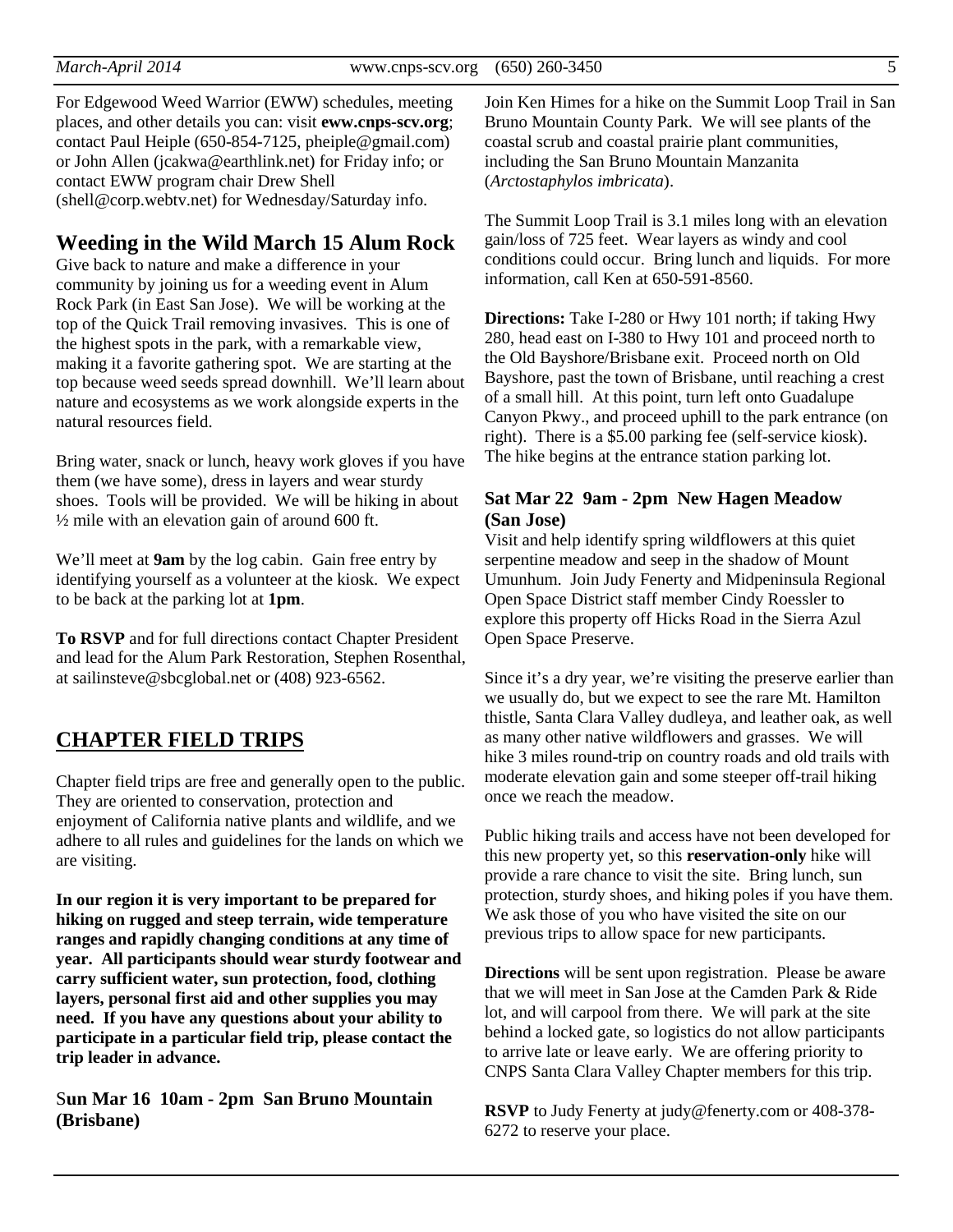For Edgewood Weed Warrior (EWW) schedules, meeting places, and other details you can: visit **eww.cnps-scv.org**; contact Paul Heiple (650-854-7125, pheiple@gmail.com) or John Allen (jcakwa@earthlink.net) for Friday info; or contact EWW program chair Drew Shell (shell@corp.webtv.net) for Wednesday/Saturday info.

#### **Weeding in the Wild March 15 Alum Rock**

Give back to nature and make a difference in your community by joining us for a weeding event in Alum Rock Park (in East San Jose). We will be working at the top of the Quick Trail removing invasives. This is one of the highest spots in the park, with a remarkable view, making it a favorite gathering spot. We are starting at the top because weed seeds spread downhill. We'll learn about nature and ecosystems as we work alongside experts in the natural resources field.

Bring water, snack or lunch, heavy work gloves if you have them (we have some), dress in layers and wear sturdy shoes. Tools will be provided. We will be hiking in about ½ mile with an elevation gain of around 600 ft.

We'll meet at **9am** by the log cabin. Gain free entry by identifying yourself as a volunteer at the kiosk. We expect to be back at the parking lot at **1pm**.

**To RSVP** and for full directions contact Chapter President and lead for the Alum Park Restoration, Stephen Rosenthal, at sailinsteve@sbcglobal.net or (408) 923-6562.

### **CHAPTER FIELD TRIPS**

Chapter field trips are free and generally open to the public. They are oriented to conservation, protection and enjoyment of California native plants and wildlife, and we adhere to all rules and guidelines for the lands on which we are visiting.

**In our region it is very important to be prepared for hiking on rugged and steep terrain, wide temperature ranges and rapidly changing conditions at any time of year. All participants should wear sturdy footwear and carry sufficient water, sun protection, food, clothing layers, personal first aid and other supplies you may need. If you have any questions about your ability to participate in a particular field trip, please contact the trip leader in advance.** 

S**un Mar 16 10am - 2pm San Bruno Mountain (Brisbane)** 

Join Ken Himes for a hike on the Summit Loop Trail in San Bruno Mountain County Park. We will see plants of the coastal scrub and coastal prairie plant communities, including the San Bruno Mountain Manzanita (*Arctostaphylos imbricata*).

The Summit Loop Trail is 3.1 miles long with an elevation gain/loss of 725 feet. Wear layers as windy and cool conditions could occur. Bring lunch and liquids. For more information, call Ken at 650-591-8560.

**Directions:** Take I-280 or Hwy 101 north; if taking Hwy 280, head east on I-380 to Hwy 101 and proceed north to the Old Bayshore/Brisbane exit. Proceed north on Old Bayshore, past the town of Brisbane, until reaching a crest of a small hill. At this point, turn left onto Guadalupe Canyon Pkwy., and proceed uphill to the park entrance (on right). There is a \$5.00 parking fee (self-service kiosk). The hike begins at the entrance station parking lot.

#### **Sat Mar 22 9am - 2pm New Hagen Meadow (San Jose)**

Visit and help identify spring wildflowers at this quiet serpentine meadow and seep in the shadow of Mount Umunhum. Join Judy Fenerty and Midpeninsula Regional Open Space District staff member Cindy Roessler to explore this property off Hicks Road in the Sierra Azul Open Space Preserve.

Since it's a dry year, we're visiting the preserve earlier than we usually do, but we expect to see the rare Mt. Hamilton thistle, Santa Clara Valley dudleya, and leather oak, as well as many other native wildflowers and grasses. We will hike 3 miles round-trip on country roads and old trails with moderate elevation gain and some steeper off-trail hiking once we reach the meadow.

Public hiking trails and access have not been developed for this new property yet, so this **reservation-only** hike will provide a rare chance to visit the site. Bring lunch, sun protection, sturdy shoes, and hiking poles if you have them. We ask those of you who have visited the site on our previous trips to allow space for new participants.

**Directions** will be sent upon registration. Please be aware that we will meet in San Jose at the Camden Park & Ride lot, and will carpool from there. We will park at the site behind a locked gate, so logistics do not allow participants to arrive late or leave early. We are offering priority to CNPS Santa Clara Valley Chapter members for this trip.

**RSVP** to Judy Fenerty at judy@fenerty.com or 408-378- 6272 to reserve your place.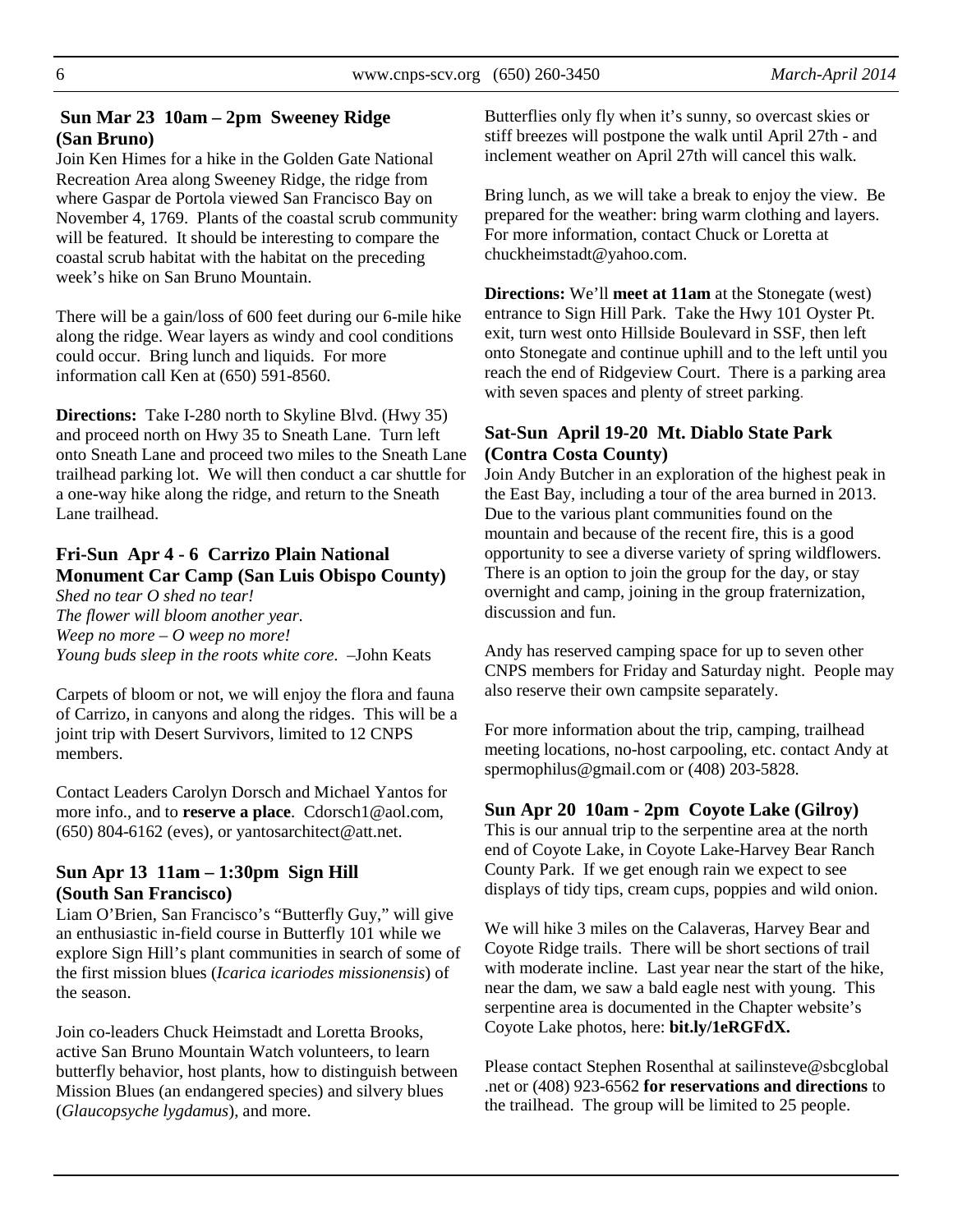#### **Sun Mar 23 10am – 2pm Sweeney Ridge (San Bruno)**

Join Ken Himes for a hike in the Golden Gate National Recreation Area along Sweeney Ridge, the ridge from where Gaspar de Portola viewed San Francisco Bay on November 4, 1769. Plants of the coastal scrub community will be featured. It should be interesting to compare the coastal scrub habitat with the habitat on the preceding week's hike on San Bruno Mountain.

There will be a gain/loss of 600 feet during our 6-mile hike along the ridge. Wear layers as windy and cool conditions could occur. Bring lunch and liquids. For more information call Ken at (650) 591-8560.

**Directions:** Take I-280 north to Skyline Blvd. (Hwy 35) and proceed north on Hwy 35 to Sneath Lane. Turn left onto Sneath Lane and proceed two miles to the Sneath Lane trailhead parking lot. We will then conduct a car shuttle for a one-way hike along the ridge, and return to the Sneath Lane trailhead.

# **Fri-Sun Apr 4 - 6 Carrizo Plain National Monument Car Camp (San Luis Obispo County)**

*Shed no tear O shed no tear! The flower will bloom another year. Weep no more – O weep no more! Young buds sleep in the roots white core.* –John Keats

Carpets of bloom or not, we will enjoy the flora and fauna of Carrizo, in canyons and along the ridges. This will be a joint trip with Desert Survivors, limited to 12 CNPS members.

Contact Leaders Carolyn Dorsch and Michael Yantos for more info., and to **reserve a place**. Cdorsch1@aol.com,  $(650)$  804-6162 (eves), or yantosarchitect@att.net.

# **Sun Apr 13 11am – 1:30pm Sign Hill (South San Francisco)**

Liam O'Brien, San Francisco's "Butterfly Guy," will give an enthusiastic in-field course in Butterfly 101 while we explore Sign Hill's plant communities in search of some of the first mission blues (*Icarica icariodes missionensis*) of the season.

Join co-leaders Chuck Heimstadt and Loretta Brooks, active San Bruno Mountain Watch volunteers, to learn butterfly behavior, host plants, how to distinguish between Mission Blues (an endangered species) and silvery blues (*Glaucopsyche lygdamus*), and more.

Butterflies only fly when it's sunny, so overcast skies or stiff breezes will postpone the walk until April 27th - and inclement weather on April 27th will cancel this walk.

Bring lunch, as we will take a break to enjoy the view. Be prepared for the weather: bring warm clothing and layers. For more information, contact Chuck or Loretta at chuckheimstadt@yahoo.com.

**Directions:** We'll **meet at 11am** at the Stonegate (west) entrance to Sign Hill Park. Take the Hwy 101 Oyster Pt. exit, turn west onto Hillside Boulevard in SSF, then left onto Stonegate and continue uphill and to the left until you reach the end of Ridgeview Court. There is a parking area with seven spaces and plenty of street parking.

#### **Sat-Sun April 19-20 Mt. Diablo State Park (Contra Costa County)**

Join Andy Butcher in an exploration of the highest peak in the East Bay, including a tour of the area burned in 2013. Due to the various plant communities found on the mountain and because of the recent fire, this is a good opportunity to see a diverse variety of spring wildflowers. There is an option to join the group for the day, or stay overnight and camp, joining in the group fraternization, discussion and fun.

Andy has reserved camping space for up to seven other CNPS members for Friday and Saturday night. People may also reserve their own campsite separately.

For more information about the trip, camping, trailhead meeting locations, no-host carpooling, etc. contact Andy at spermophilus@gmail.com or (408) 203-5828.

#### **Sun Apr 20 10am - 2pm Coyote Lake (Gilroy)**

This is our annual trip to the serpentine area at the north end of Coyote Lake, in Coyote Lake-Harvey Bear Ranch County Park. If we get enough rain we expect to see displays of tidy tips, cream cups, poppies and wild onion.

We will hike 3 miles on the Calaveras, Harvey Bear and Coyote Ridge trails. There will be short sections of trail with moderate incline. Last year near the start of the hike, near the dam, we saw a bald eagle nest with young. This serpentine area is documented in the Chapter website's Coyote Lake photos, here: **bit.ly/1eRGFdX.**

Please contact Stephen Rosenthal at sailinsteve@sbcglobal .net or (408) 923-6562 **for reservations and directions** to the trailhead. The group will be limited to 25 people.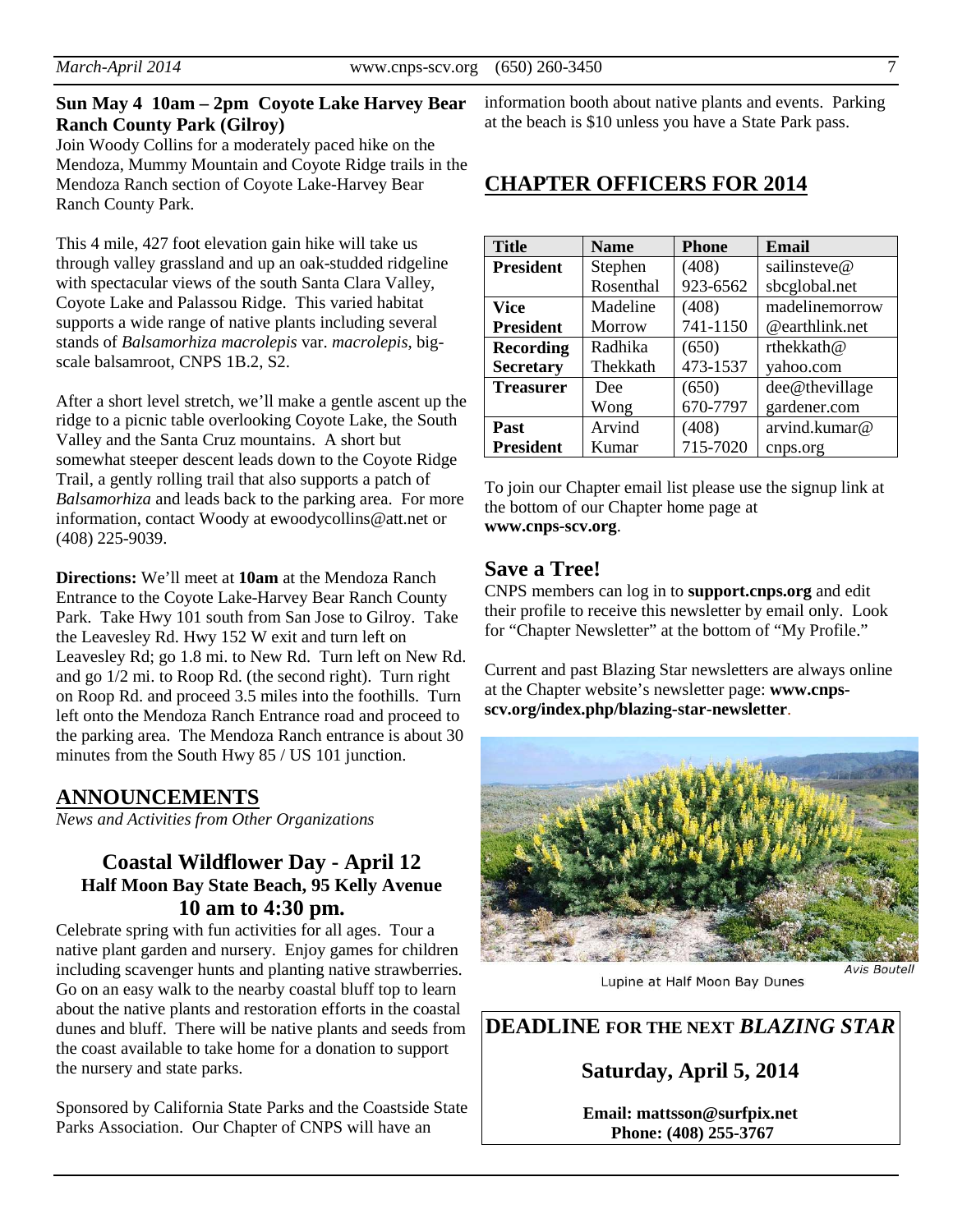#### **Sun May 4 10am – 2pm Coyote Lake Harvey Bear Ranch County Park (Gilroy)**

Join Woody Collins for a moderately paced hike on the Mendoza, Mummy Mountain and Coyote Ridge trails in the Mendoza Ranch section of Coyote Lake-Harvey Bear Ranch County Park.

This 4 mile, 427 foot elevation gain hike will take us through valley grassland and up an oak-studded ridgeline with spectacular views of the south Santa Clara Valley, Coyote Lake and Palassou Ridge. This varied habitat supports a wide range of native plants including several stands of *Balsamorhiza macrolepis* var. *macrolepis*, bigscale balsamroot, CNPS 1B.2, S2.

After a short level stretch, we'll make a gentle ascent up the ridge to a picnic table overlooking Coyote Lake, the South Valley and the Santa Cruz mountains. A short but somewhat steeper descent leads down to the Coyote Ridge Trail, a gently rolling trail that also supports a patch of *Balsamorhiza* and leads back to the parking area. For more information, contact Woody at ewoodycollins@att.net or (408) 225-9039.

**Directions:** We'll meet at **10am** at the Mendoza Ranch Entrance to the Coyote Lake-Harvey Bear Ranch County Park. Take Hwy 101 south from San Jose to Gilroy. Take the Leavesley Rd. Hwy 152 W exit and turn left on Leavesley Rd; go 1.8 mi. to New Rd. Turn left on New Rd. and go 1/2 mi. to Roop Rd. (the second right). Turn right on Roop Rd. and proceed 3.5 miles into the foothills. Turn left onto the Mendoza Ranch Entrance road and proceed to the parking area. The Mendoza Ranch entrance is about 30 minutes from the South Hwy 85 / US 101 junction.

# **ANNOUNCEMENTS**

*News and Activities from Other Organizations* 

# **Coastal Wildflower Day - April 12 Half Moon Bay State Beach, 95 Kelly Avenue 10 am to 4:30 pm.**

Celebrate spring with fun activities for all ages. Tour a native plant garden and nursery. Enjoy games for children including scavenger hunts and planting native strawberries. Go on an easy walk to the nearby coastal bluff top to learn about the native plants and restoration efforts in the coastal dunes and bluff. There will be native plants and seeds from the coast available to take home for a donation to support the nursery and state parks.

Sponsored by California State Parks and the Coastside State Parks Association. Our Chapter of CNPS will have an

information booth about native plants and events. Parking at the beach is \$10 unless you have a State Park pass.

# **CHAPTER OFFICERS FOR 2014**

| <b>Title</b>     | <b>Name</b>   | <b>Phone</b> | Email          |  |
|------------------|---------------|--------------|----------------|--|
| <b>President</b> | Stephen       | (408)        | sailinsteve@   |  |
|                  | Rosenthal     | 923-6562     | sbcglobal.net  |  |
| Vice             | Madeline      | (408)        | madelinemorrow |  |
| <b>President</b> | <b>Morrow</b> | 741-1150     | @earthlink.net |  |
| <b>Recording</b> | Radhika       | (650)        | rthekkath@     |  |
| <b>Secretary</b> | Thekkath      | 473-1537     | yahoo.com      |  |
| <b>Treasurer</b> | Dee           | (650)        | dee@thevillage |  |
|                  | Wong          | 670-7797     | gardener.com   |  |
| Past             | Arvind        | (408)        | arvind.kumar@  |  |
| President        | Kumar         | 715-7020     | cnps.org       |  |

To join our Chapter email list please use the signup link at the bottom of our Chapter home page at **www.cnps-scv.org**.

#### **Save a Tree!**

CNPS members can log in to **support.cnps.org** and edit their profile to receive this newsletter by email only. Look for "Chapter Newsletter" at the bottom of "My Profile."

Current and past Blazing Star newsletters are always online at the Chapter website's newsletter page: **www.cnpsscv.org/index.php/blazing-star-newsletter**.



Lupine at Half Moon Bay Dunes

**DEADLINE FOR THE NEXT** *BLAZING STAR* 

# **Saturday, April 5, 2014**

**Email: mattsson@surfpix.net Phone: (408) 255-3767**